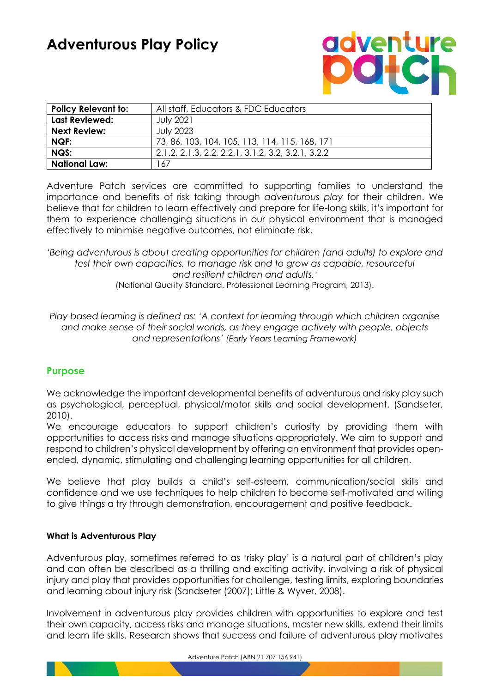# **Adventurous Play Policy**

# **aventure**

| <b>Policy Relevant to:</b> | All staff, Educators & FDC Educators               |
|----------------------------|----------------------------------------------------|
| <b>Last Reviewed:</b>      | <b>July 2021</b>                                   |
| <b>Next Review:</b>        | <b>July 2023</b>                                   |
| NQF:                       | 73, 86, 103, 104, 105, 113, 114, 115, 168, 171     |
| NQS:                       | 2.1.2, 2.1.3, 2.2, 2.2.1, 3.1.2, 3.2, 3.2.1, 3.2.2 |
| <b>National Law:</b>       | 167                                                |

Adventure Patch services are committed to supporting families to understand the importance and benefits of risk taking through *adventurous play* for their children. We believe that for children to learn effectively and prepare for life-long skills, it's important for them to experience challenging situations in our physical environment that is managed effectively to minimise negative outcomes, not eliminate risk.

*'Being adventurous is about creating opportunities for children (and adults) to explore and test their own capacities, to manage risk and to grow as capable, resourceful and resilient children and adults.'*  (National Quality Standard, Professional Learning Program, 2013).

*Play based learning is defined as: 'A context for learning through which children organise and make sense of their social worlds, as they engage actively with people, objects and representations' (Early Years Learning Framework)*

# **Purpose**

We acknowledge the important developmental benefits of adventurous and risky play such as psychological, perceptual, physical/motor skills and social development. (Sandseter, 2010).

We encourage educators to support children's curiosity by providing them with opportunities to access risks and manage situations appropriately. We aim to support and respond to children's physical development by offering an environment that provides openended, dynamic, stimulating and challenging learning opportunities for all children.

We believe that play builds a child's self-esteem, communication/social skills and confidence and we use techniques to help children to become self-motivated and willing to give things a try through demonstration, encouragement and positive feedback.

# **What is Adventurous Play**

Adventurous play, sometimes referred to as 'risky play' is a natural part of children's play and can often be described as a thrilling and exciting activity, involving a risk of physical injury and play that provides opportunities for challenge, testing limits, exploring boundaries and learning about injury risk (Sandseter (2007); Little & Wyver, 2008).

Involvement in adventurous play provides children with opportunities to explore and test their own capacity, access risks and manage situations, master new skills, extend their limits and learn life skills. Research shows that success and failure of adventurous play motivates

Adventure Patch (ABN 21 707 156 941)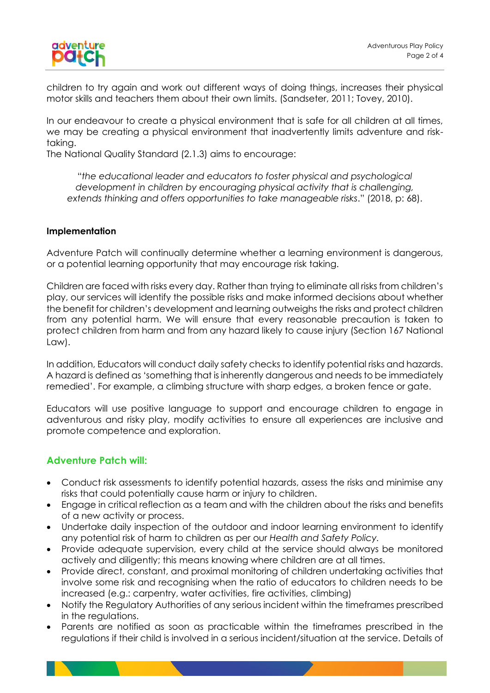

children to try again and work out different ways of doing things, increases their physical motor skills and teachers them about their own limits. (Sandseter, 2011; Tovey, 2010).

In our endeavour to create a physical environment that is safe for all children at all times, we may be creating a physical environment that inadvertently limits adventure and risktaking.

The National Quality Standard (2.1.3) aims to encourage:

"*the educational leader and educators to foster physical and psychological development in children by encouraging physical activity that is challenging, extends thinking and offers opportunities to take manageable risks*." (2018, p: 68).

#### **Implementation**

Adventure Patch will continually determine whether a learning environment is dangerous, or a potential learning opportunity that may encourage risk taking.

Children are faced with risks every day. Rather than trying to eliminate all risks from children's play, our services will identify the possible risks and make informed decisions about whether the benefit for children's development and learning outweighs the risks and protect children from any potential harm. We will ensure that every reasonable precaution is taken to protect children from harm and from any hazard likely to cause injury (Section 167 National Law).

In addition, Educators will conduct daily safety checks to identify potential risks and hazards. A hazard is defined as 'something that is inherently dangerous and needs to be immediately remedied'. For example, a climbing structure with sharp edges, a broken fence or gate.

Educators will use positive language to support and encourage children to engage in adventurous and risky play, modify activities to ensure all experiences are inclusive and promote competence and exploration.

#### **Adventure Patch will:**

- Conduct risk assessments to identify potential hazards, assess the risks and minimise any risks that could potentially cause harm or injury to children.
- Engage in critical reflection as a team and with the children about the risks and benefits of a new activity or process.
- Undertake daily inspection of the outdoor and indoor learning environment to identify any potential risk of harm to children as per our *Health and Safety Policy.*
- Provide adequate supervision, every child at the service should always be monitored actively and diligently; this means knowing where children are at all times.
- Provide direct, constant, and proximal monitoring of children undertaking activities that involve some risk and recognising when the ratio of educators to children needs to be increased (e.g.: carpentry, water activities, fire activities, climbing)
- Notify the Regulatory Authorities of any serious incident within the timeframes prescribed in the regulations.
- Parents are notified as soon as practicable within the timeframes prescribed in the regulations if their child is involved in a serious incident/situation at the service. Details of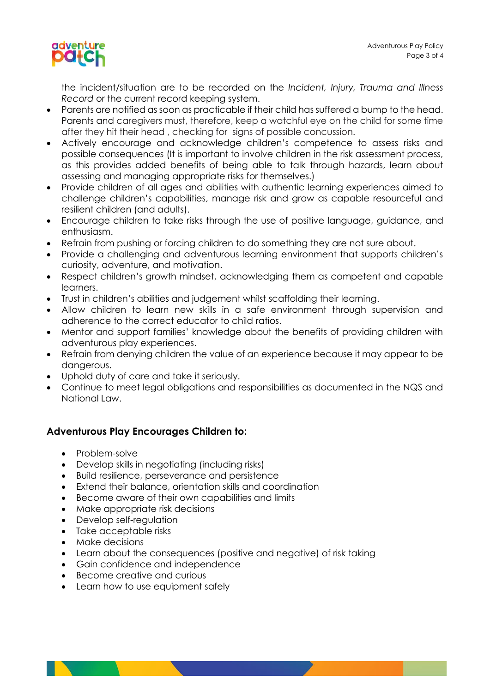

the incident/situation are to be recorded on the *Incident, Injury, Trauma and Illness Record* or the current record keeping system.

- Parents are notified as soon as practicable if their child has suffered a bump to the head. Parents and caregivers must, therefore, keep a watchful eye on the child for some time after they hit their head , checking for signs of possible concussion.
- Actively encourage and acknowledge children's competence to assess risks and possible consequences (It is important to involve children in the risk assessment process, as this provides added benefits of being able to talk through hazards, learn about assessing and managing appropriate risks for themselves.)
- Provide children of all ages and abilities with authentic learning experiences aimed to challenge children's capabilities, manage risk and grow as capable resourceful and resilient children (and adults).
- Encourage children to take risks through the use of positive language, guidance, and enthusiasm.
- Refrain from pushing or forcing children to do something they are not sure about.
- Provide a challenging and adventurous learning environment that supports children's curiosity, adventure, and motivation.
- Respect children's growth mindset, acknowledging them as competent and capable learners.
- Trust in children's abilities and judgement whilst scaffolding their learning.
- Allow children to learn new skills in a safe environment through supervision and adherence to the correct educator to child ratios.
- Mentor and support families' knowledge about the benefits of providing children with adventurous play experiences.
- Refrain from denying children the value of an experience because it may appear to be dangerous.
- Uphold duty of care and take it seriously.
- Continue to meet legal obligations and responsibilities as documented in the NQS and National Law.

# **Adventurous Play Encourages Children to:**

- Problem-solve
- Develop skills in negotiating (including risks)
- Build resilience, perseverance and persistence
- Extend their balance, orientation skills and coordination
- Become aware of their own capabilities and limits
- Make appropriate risk decisions
- Develop self-regulation
- Take acceptable risks
- Make decisions
- Learn about the consequences (positive and negative) of risk taking
- Gain confidence and independence
- Become creative and curious
- Learn how to use equipment safely